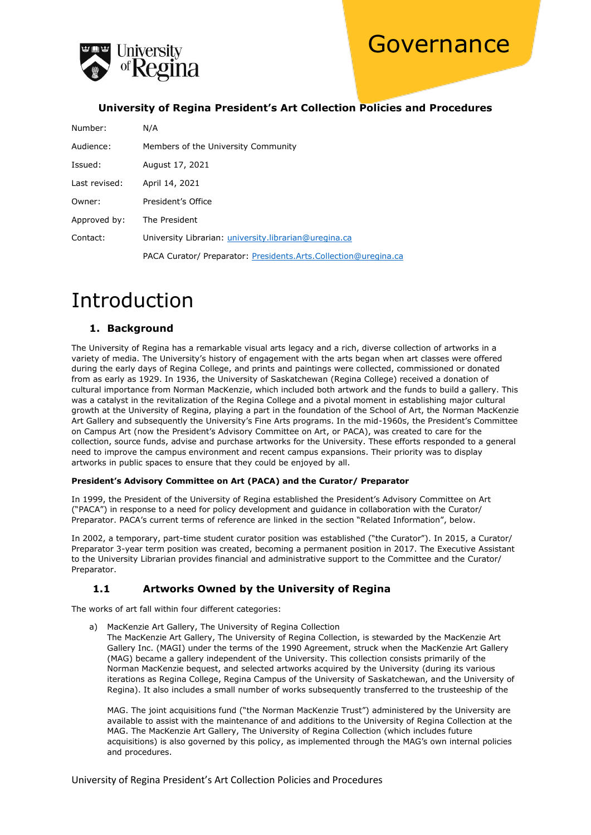



### **University of Regina President's Art Collection Policies and Procedures**

| Number:       | N/A                                                             |
|---------------|-----------------------------------------------------------------|
| Audience:     | Members of the University Community                             |
| Issued:       | August 17, 2021                                                 |
| Last revised: | April 14, 2021                                                  |
| Owner:        | President's Office                                              |
| Approved by:  | The President                                                   |
| Contact:      | University Librarian: university.librarian@uregina.ca           |
|               | PACA Curator/ Preparator: Presidents.Arts.Collection@uregina.ca |

# Introduction

#### **1. Background**

The University of Regina has a remarkable visual arts legacy and a rich, diverse collection of artworks in a variety of media. The University's history of engagement with the arts began when art classes were offered during the early days of Regina College, and prints and paintings were collected, commissioned or donated from as early as 1929. In 1936, the University of Saskatchewan (Regina College) received a donation of cultural importance from Norman MacKenzie, which included both artwork and the funds to build a gallery. This was a catalyst in the revitalization of the Regina College and a pivotal moment in establishing major cultural growth at the University of Regina, playing a part in the foundation of the School of Art, the Norman MacKenzie Art Gallery and subsequently the University's Fine Arts programs. In the mid-1960s, the President's Committee on Campus Art (now the President's Advisory Committee on Art, or PACA), was created to care for the collection, source funds, advise and purchase artworks for the University. These efforts responded to a general need to improve the campus environment and recent campus expansions. Their priority was to display artworks in public spaces to ensure that they could be enjoyed by all.

#### **President's Advisory Committee on Art (PACA) and the Curator/ Preparator**

In 1999, the President of the University of Regina established the President's Advisory Committee on Art ("PACA") in response to a need for policy development and guidance in collaboration with the Curator/ Preparator. PACA's current terms of reference are linked in the section "Related Information", below.

In 2002, a temporary, part-time student curator position was established ("the Curator"). In 2015, a Curator/ Preparator 3-year term position was created, becoming a permanent position in 2017. The Executive Assistant to the University Librarian provides financial and administrative support to the Committee and the Curator/ Preparator.

### **1.1 Artworks Owned by the University of Regina**

The works of art fall within four different categories:

a) MacKenzie Art Gallery, The University of Regina Collection

The MacKenzie Art Gallery, The University of Regina Collection, is stewarded by the MacKenzie Art Gallery Inc. (MAGI) under the terms of the 1990 Agreement, struck when the MacKenzie Art Gallery (MAG) became a gallery independent of the University. This collection consists primarily of the Norman MacKenzie bequest, and selected artworks acquired by the University (during its various iterations as Regina College, Regina Campus of the University of Saskatchewan, and the University of Regina). It also includes a small number of works subsequently transferred to the trusteeship of the

MAG. The joint acquisitions fund ("the Norman MacKenzie Trust") administered by the University are available to assist with the maintenance of and additions to the University of Regina Collection at the MAG. The MacKenzie Art Gallery, The University of Regina Collection (which includes future acquisitions) is also governed by this policy, as implemented through the MAG's own internal policies and procedures.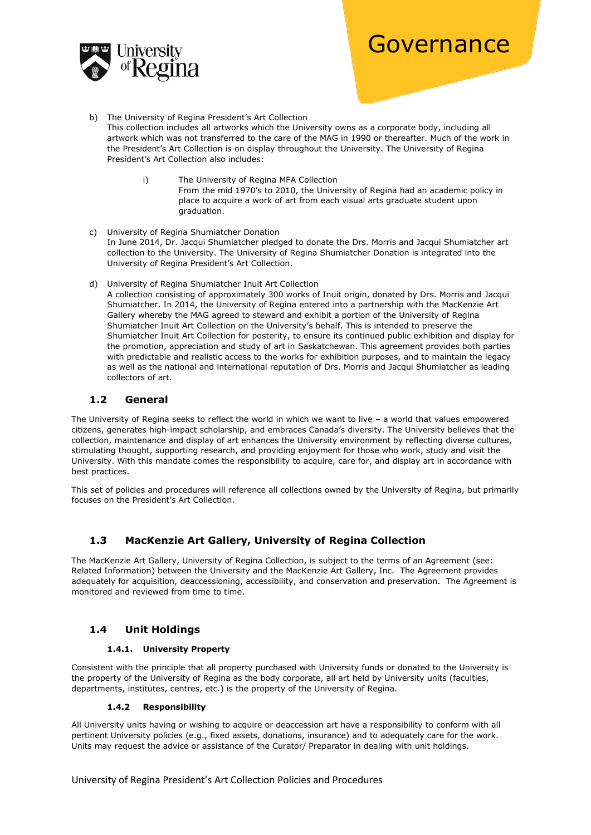

- b) The University of Regina President's Art Collection This collection includes all artworks which the University owns as a corporate body, including all artwork which was not transferred to the care of the MAG in 1990 or thereafter. Much of the work in the President's Art Collection is on display throughout the University. The University of Regina President's Art Collection also includes:
	- i) The University of Regina MFA Collection From the mid 1970's to 2010, the University of Regina had an academic policy in place to acquire a work of art from each visual arts graduate student upon graduation.
- c) University of Regina Shumiatcher Donation In June 2014, Dr. Jacqui Shumiatcher pledged to donate the Drs. Morris and Jacqui Shumiatcher art collection to the University. The University of Regina Shumiatcher Donation is integrated into the University of Regina President's Art Collection.
- d) University of Regina Shumiatcher Inuit Art Collection

A collection consisting of approximately 300 works of Inuit origin, donated by Drs. Morris and Jacqui Shumiatcher. In 2014, the University of Regina entered into a partnership with the MacKenzie Art Gallery whereby the MAG agreed to steward and exhibit a portion of the University of Regina Shumiatcher Inuit Art Collection on the University's behalf. This is intended to preserve the Shumiatcher Inuit Art Collection for posterity, to ensure its continued public exhibition and display for the promotion, appreciation and study of art in Saskatchewan. This agreement provides both parties with predictable and realistic access to the works for exhibition purposes, and to maintain the legacy as well as the national and international reputation of Drs. Morris and Jacqui Shumiatcher as leading collectors of art.

### **1.2 General**

The University of Regina seeks to reflect the world in which we want to live – a world that values empowered citizens, generates high-impact scholarship, and embraces Canada's diversity. The University believes that the collection, maintenance and display of art enhances the University environment by reflecting diverse cultures, stimulating thought, supporting research, and providing enjoyment for those who work, study and visit the University. With this mandate comes the responsibility to acquire, care for, and display art in accordance with best practices.

This set of policies and procedures will reference all collections owned by the University of Regina, but primarily focuses on the President's Art Collection.

# **1.3 MacKenzie Art Gallery, University of Regina Collection**

The MacKenzie Art Gallery, University of Regina Collection, is subject to the terms of an Agreement (see: Related Information) between the University and the MacKenzie Art Gallery, Inc. The Agreement provides adequately for acquisition, deaccessioning, accessibility, and conservation and preservation. The Agreement is monitored and reviewed from time to time.

# **1.4 Unit Holdings**

#### **1.4.1. University Property**

Consistent with the principle that all property purchased with University funds or donated to the University is the property of the University of Regina as the body corporate, all art held by University units (faculties, departments, institutes, centres, etc.) is the property of the University of Regina.

#### **1.4.2 Responsibility**

All University units having or wishing to acquire or deaccession art have a responsibility to conform with all pertinent University policies (e.g., fixed assets, donations, insurance) and to adequately care for the work. Units may request the advice or assistance of the Curator/ Preparator in dealing with unit holdings.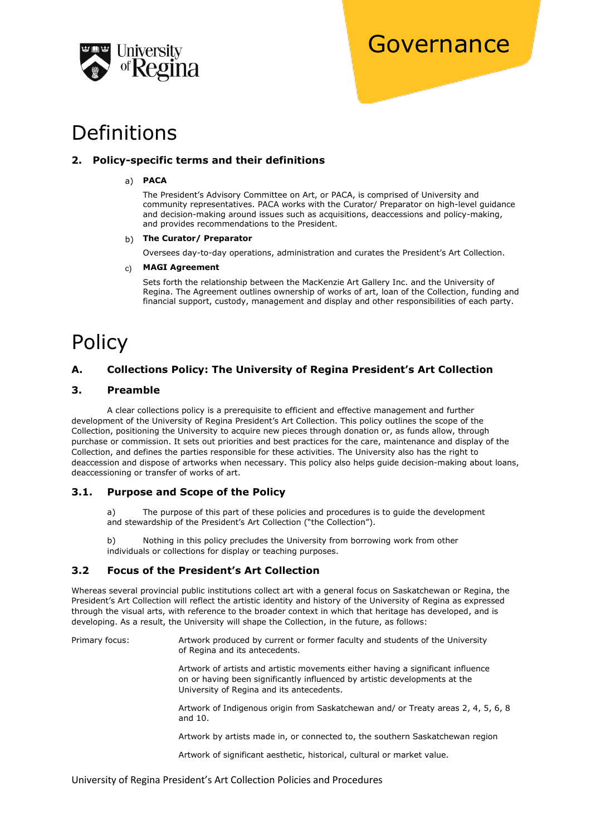

# Definitions

# **2. Policy-specific terms and their definitions**

### a) **PACA**

The President's Advisory Committee on Art, or PACA, is comprised of University and community representatives. PACA works with the Curator/ Preparator on high-level guidance and decision-making around issues such as acquisitions, deaccessions and policy-making, and provides recommendations to the President.

#### b) **The Curator/ Preparator**

Oversees day-to-day operations, administration and curates the President's Art Collection.

#### c) **MAGI Agreement**

Sets forth the relationship between the MacKenzie Art Gallery Inc. and the University of Regina. The Agreement outlines ownership of works of art, loan of the Collection, funding and financial support, custody, management and display and other responsibilities of each party.

# Policy

# **A. Collections Policy: The University of Regina President's Art Collection**

### **3. Preamble**

A clear collections policy is a prerequisite to efficient and effective management and further development of the University of Regina President's Art Collection. This policy outlines the scope of the Collection, positioning the University to acquire new pieces through donation or, as funds allow, through purchase or commission. It sets out priorities and best practices for the care, maintenance and display of the Collection, and defines the parties responsible for these activities. The University also has the right to deaccession and dispose of artworks when necessary. This policy also helps guide decision-making about loans, deaccessioning or transfer of works of art.

# **3.1. Purpose and Scope of the Policy**

a) The purpose of this part of these policies and procedures is to guide the development and stewardship of the President's Art Collection ("the Collection").

b) Nothing in this policy precludes the University from borrowing work from other individuals or collections for display or teaching purposes.

# **3.2 Focus of the President's Art Collection**

Whereas several provincial public institutions collect art with a general focus on Saskatchewan or Regina, the President's Art Collection will reflect the artistic identity and history of the University of Regina as expressed through the visual arts, with reference to the broader context in which that heritage has developed, and is developing. As a result, the University will shape the Collection, in the future, as follows:

Primary focus: Artwork produced by current or former faculty and students of the University of Regina and its antecedents.

> Artwork of artists and artistic movements either having a significant influence on or having been significantly influenced by artistic developments at the University of Regina and its antecedents.

Artwork of Indigenous origin from Saskatchewan and/ or Treaty areas 2, 4, 5, 6, 8 and 10.

Artwork by artists made in, or connected to, the southern Saskatchewan region

Artwork of significant aesthetic, historical, cultural or market value.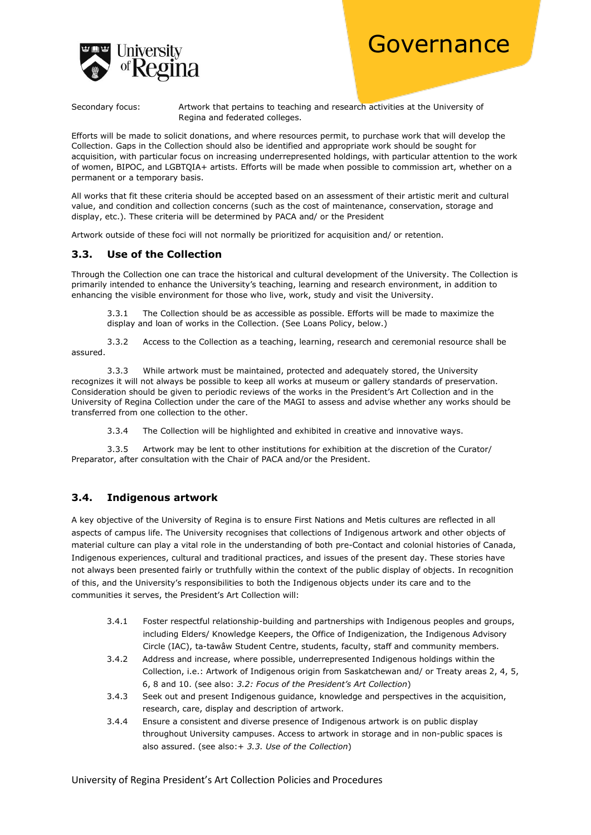

Secondary focus: Artwork that pertains to teaching and research activities at the University of Regina and federated colleges.

Efforts will be made to solicit donations, and where resources permit, to purchase work that will develop the Collection. Gaps in the Collection should also be identified and appropriate work should be sought for acquisition, with particular focus on increasing underrepresented holdings, with particular attention to the work of women, BIPOC, and LGBTQIA+ artists. Efforts will be made when possible to commission art, whether on a permanent or a temporary basis.

All works that fit these criteria should be accepted based on an assessment of their artistic merit and cultural value, and condition and collection concerns (such as the cost of maintenance, conservation, storage and display, etc.). These criteria will be determined by PACA and/ or the President

Artwork outside of these foci will not normally be prioritized for acquisition and/ or retention.

# **3.3. Use of the Collection**

Through the Collection one can trace the historical and cultural development of the University. The Collection is primarily intended to enhance the University's teaching, learning and research environment, in addition to enhancing the visible environment for those who live, work, study and visit the University.

3.3.1 The Collection should be as accessible as possible. Efforts will be made to maximize the display and loan of works in the Collection. (See Loans Policy, below.)

3.3.2 Access to the Collection as a teaching, learning, research and ceremonial resource shall be assured.

3.3.3 While artwork must be maintained, protected and adequately stored, the University recognizes it will not always be possible to keep all works at museum or gallery standards of preservation. Consideration should be given to periodic reviews of the works in the President's Art Collection and in the University of Regina Collection under the care of the MAGI to assess and advise whether any works should be transferred from one collection to the other.

3.3.4 The Collection will be highlighted and exhibited in creative and innovative ways.

3.3.5 Artwork may be lent to other institutions for exhibition at the discretion of the Curator/ Preparator, after consultation with the Chair of PACA and/or the President.

# **3.4. Indigenous artwork**

A key objective of the University of Regina is to ensure First Nations and Metis cultures are reflected in all aspects of campus life. The University recognises that collections of Indigenous artwork and other objects of material culture can play a vital role in the understanding of both pre-Contact and colonial histories of Canada, Indigenous experiences, cultural and traditional practices, and issues of the present day. These stories have not always been presented fairly or truthfully within the context of the public display of objects. In recognition of this, and the University's responsibilities to both the Indigenous objects under its care and to the communities it serves, the President's Art Collection will:

- 3.4.1 Foster respectful relationship-building and partnerships with Indigenous peoples and groups, including Elders/ Knowledge Keepers, the Office of Indigenization, the Indigenous Advisory Circle (IAC), ta-tawâw Student Centre, students, faculty, staff and community members.
- 3.4.2 Address and increase, where possible, underrepresented Indigenous holdings within the Collection, i.e.: Artwork of Indigenous origin from Saskatchewan and/ or Treaty areas 2, 4, 5, 6, 8 and 10. (see also: *3.2: Focus of the President's Art Collection*)
- 3.4.3 Seek out and present Indigenous guidance, knowledge and perspectives in the acquisition, research, care, display and description of artwork.
- 3.4.4 Ensure a consistent and diverse presence of Indigenous artwork is on public display throughout University campuses. Access to artwork in storage and in non-public spaces is also assured. (see also:+ *3.3. Use of the Collection*)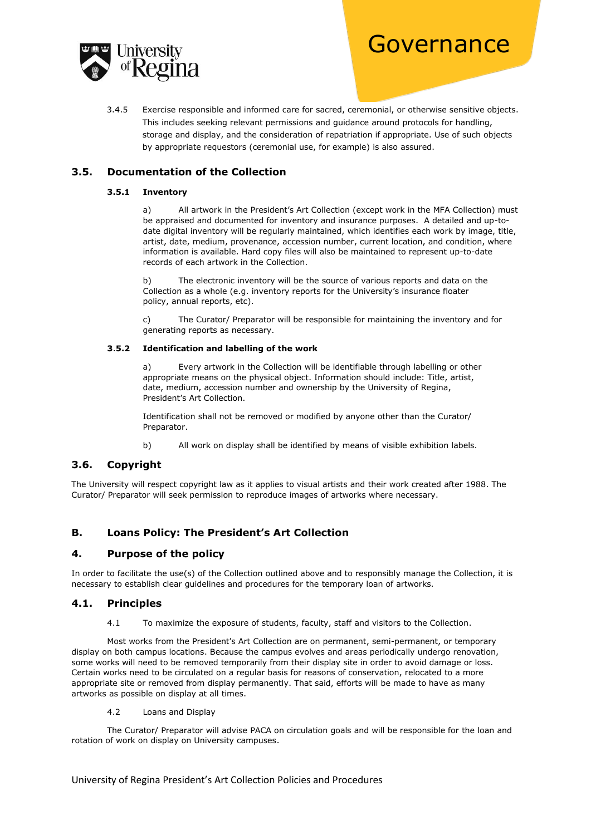

3.4.5 Exercise responsible and informed care for sacred, ceremonial, or otherwise sensitive objects. This includes seeking relevant permissions and guidance around protocols for handling, storage and display, and the consideration of repatriation if appropriate. Use of such objects by appropriate requestors (ceremonial use, for example) is also assured.

# **3.5. Documentation of the Collection**

#### **3.5.1 Inventory**

a) All artwork in the President's Art Collection (except work in the MFA Collection) must be appraised and documented for inventory and insurance purposes. A detailed and up-todate digital inventory will be regularly maintained, which identifies each work by image, title, artist, date, medium, provenance, accession number, current location, and condition, where information is available. Hard copy files will also be maintained to represent up-to-date records of each artwork in the Collection.

b) The electronic inventory will be the source of various reports and data on the Collection as a whole (e.g. inventory reports for the University's insurance floater policy, annual reports, etc).

c) The Curator/ Preparator will be responsible for maintaining the inventory and for generating reports as necessary.

#### **3**.**5.2 Identification and labelling of the work**

a) Every artwork in the Collection will be identifiable through labelling or other appropriate means on the physical object. Information should include: Title, artist, date, medium, accession number and ownership by the University of Regina, President's Art Collection.

Identification shall not be removed or modified by anyone other than the Curator/ Preparator.

b) All work on display shall be identified by means of visible exhibition labels.

# **3.6. Copyright**

The University will respect copyright law as it applies to visual artists and their work created after 1988. The Curator/ Preparator will seek permission to reproduce images of artworks where necessary.

# **B. Loans Policy: The President's Art Collection**

# **4. Purpose of the policy**

In order to facilitate the use(s) of the Collection outlined above and to responsibly manage the Collection, it is necessary to establish clear guidelines and procedures for the temporary loan of artworks.

#### **4.1. Principles**

4.1 To maximize the exposure of students, faculty, staff and visitors to the Collection.

Most works from the President's Art Collection are on permanent, semi-permanent, or temporary display on both campus locations. Because the campus evolves and areas periodically undergo renovation, some works will need to be removed temporarily from their display site in order to avoid damage or loss. Certain works need to be circulated on a regular basis for reasons of conservation, relocated to a more appropriate site or removed from display permanently. That said, efforts will be made to have as many artworks as possible on display at all times.

4.2 Loans and Display

The Curator/ Preparator will advise PACA on circulation goals and will be responsible for the loan and rotation of work on display on University campuses.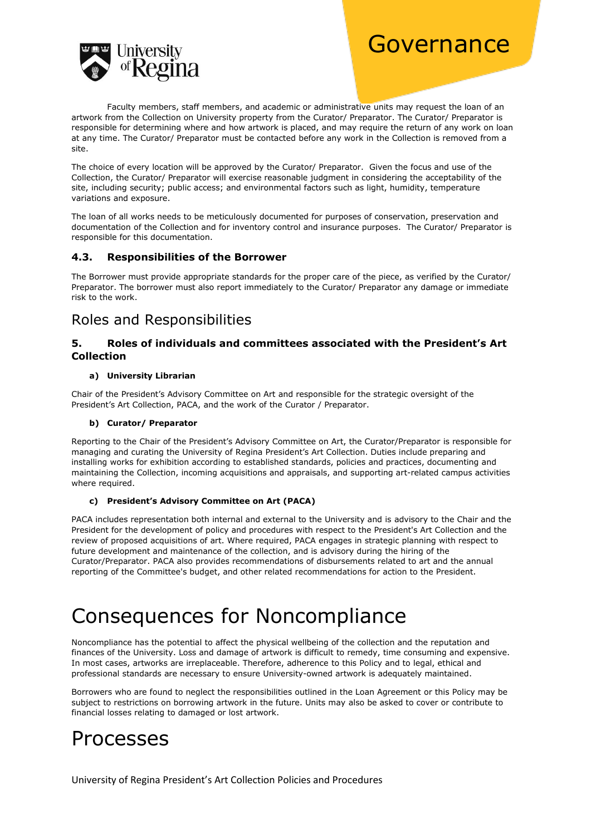

Faculty members, staff members, and academic or administrative units may request the loan of an artwork from the Collection on University property from the Curator/ Preparator. The Curator/ Preparator is responsible for determining where and how artwork is placed, and may require the return of any work on loan at any time. The Curator/ Preparator must be contacted before any work in the Collection is removed from a site.

The choice of every location will be approved by the Curator/ Preparator. Given the focus and use of the Collection, the Curator/ Preparator will exercise reasonable judgment in considering the acceptability of the site, including security; public access; and environmental factors such as light, humidity, temperature variations and exposure.

The loan of all works needs to be meticulously documented for purposes of conservation, preservation and documentation of the Collection and for inventory control and insurance purposes. The Curator/ Preparator is responsible for this documentation.

# **4.3. Responsibilities of the Borrower**

The Borrower must provide appropriate standards for the proper care of the piece, as verified by the Curator/ Preparator. The borrower must also report immediately to the Curator/ Preparator any damage or immediate risk to the work.

# Roles and Responsibilities

# **5. Roles of individuals and committees associated with the President's Art Collection**

### **a) University Librarian**

Chair of the President's Advisory Committee on Art and responsible for the strategic oversight of the President's Art Collection, PACA, and the work of the Curator / Preparator.

#### **b) Curator/ Preparator**

Reporting to the Chair of the President's Advisory Committee on Art, the Curator/Preparator is responsible for managing and curating the University of Regina President's Art Collection. Duties include preparing and installing works for exhibition according to established standards, policies and practices, documenting and maintaining the Collection, incoming acquisitions and appraisals, and supporting art-related campus activities where required.

#### **c) President's Advisory Committee on Art (PACA)**

PACA includes representation both internal and external to the University and is advisory to the Chair and the President for the development of policy and procedures with respect to the President's Art Collection and the review of proposed acquisitions of art. Where required, PACA engages in strategic planning with respect to future development and maintenance of the collection, and is advisory during the hiring of the Curator/Preparator. PACA also provides recommendations of disbursements related to art and the annual reporting of the Committee's budget, and other related recommendations for action to the President.

# Consequences for Noncompliance

Noncompliance has the potential to affect the physical wellbeing of the collection and the reputation and finances of the University. Loss and damage of artwork is difficult to remedy, time consuming and expensive. In most cases, artworks are irreplaceable. Therefore, adherence to this Policy and to legal, ethical and professional standards are necessary to ensure University-owned artwork is adequately maintained.

Borrowers who are found to neglect the responsibilities outlined in the Loan Agreement or this Policy may be subject to restrictions on borrowing artwork in the future. Units may also be asked to cover or contribute to financial losses relating to damaged or lost artwork.

# Processes

University of Regina President's Art Collection Policies and Procedures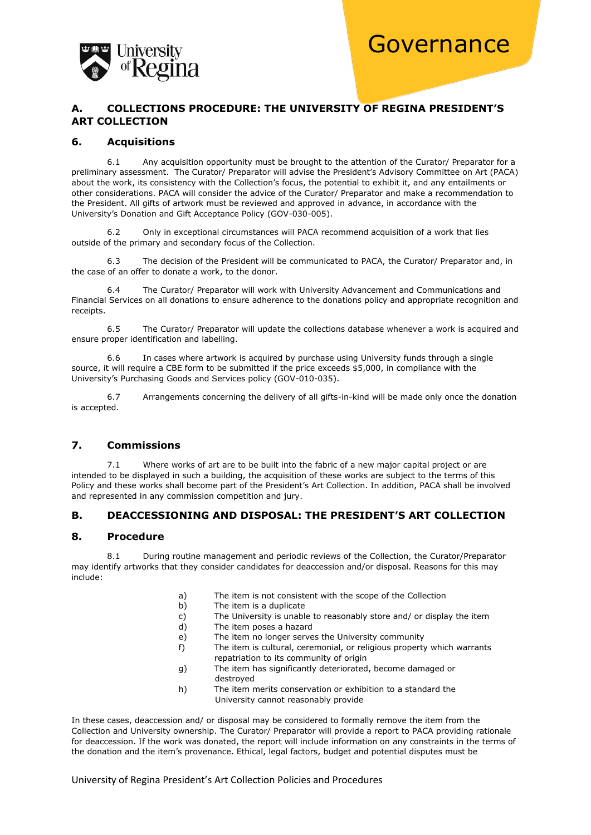

# **A. COLLECTIONS PROCEDURE: THE UNIVERSITY OF REGINA PRESIDENT'S ART COLLECTION**

#### **6. Acquisitions**

6.1 Any acquisition opportunity must be brought to the attention of the Curator/ Preparator for a preliminary assessment. The Curator/ Preparator will advise the President's Advisory Committee on Art (PACA) about the work, its consistency with the Collection's focus, the potential to exhibit it, and any entailments or other considerations. PACA will consider the advice of the Curator/ Preparator and make a recommendation to the President. All gifts of artwork must be reviewed and approved in advance, in accordance with the University's Donation and Gift Acceptance Policy (GOV-030-005).

6.2 Only in exceptional circumstances will PACA recommend acquisition of a work that lies outside of the primary and secondary focus of the Collection.

6.3 The decision of the President will be communicated to PACA, the Curator/ Preparator and, in the case of an offer to donate a work, to the donor.

6.4 The Curator/ Preparator will work with University Advancement and Communications and Financial Services on all donations to ensure adherence to the donations policy and appropriate recognition and receipts.

6.5 The Curator/ Preparator will update the collections database whenever a work is acquired and ensure proper identification and labelling.

6.6 In cases where artwork is acquired by purchase using University funds through a single source, it will require a CBE form to be submitted if the price exceeds \$5,000, in compliance with the University's Purchasing Goods and Services policy (GOV-010-035).

6.7 Arrangements concerning the delivery of all gifts-in-kind will be made only once the donation is accepted.

# **7. Commissions**

7.1 Where works of art are to be built into the fabric of a new major capital project or are intended to be displayed in such a building, the acquisition of these works are subject to the terms of this Policy and these works shall become part of the President's Art Collection. In addition, PACA shall be involved and represented in any commission competition and jury.

# **B. DEACCESSIONING AND DISPOSAL: THE PRESIDENT'S ART COLLECTION**

#### **8. Procedure**

8.1 During routine management and periodic reviews of the Collection, the Curator/Preparator may identify artworks that they consider candidates for deaccession and/or disposal. Reasons for this may include:

- a) The item is not consistent with the scope of the Collection
- b) The item is a duplicate
- c) The University is unable to reasonably store and/ or display the item
- d) The item poses a hazard
- e) The item no longer serves the University community
- f) The item is cultural, ceremonial, or religious property which warrants repatriation to its community of origin
- g) The item has significantly deteriorated, become damaged or destroyed
- h) The item merits conservation or exhibition to a standard the University cannot reasonably provide

In these cases, deaccession and/ or disposal may be considered to formally remove the item from the Collection and University ownership. The Curator/ Preparator will provide a report to PACA providing rationale for deaccession. If the work was donated, the report will include information on any constraints in the terms of the donation and the item's provenance. Ethical, legal factors, budget and potential disputes must be